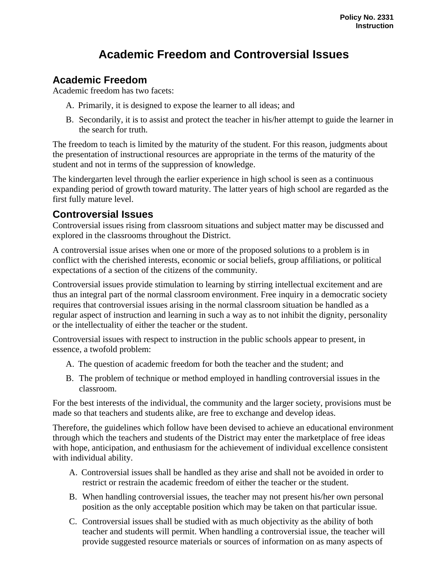## **Academic Freedom and Controversial Issues**

## **Academic Freedom**

Academic freedom has two facets:

- A. Primarily, it is designed to expose the learner to all ideas; and
- B. Secondarily, it is to assist and protect the teacher in his/her attempt to guide the learner in the search for truth.

The freedom to teach is limited by the maturity of the student. For this reason, judgments about the presentation of instructional resources are appropriate in the terms of the maturity of the student and not in terms of the suppression of knowledge.

The kindergarten level through the earlier experience in high school is seen as a continuous expanding period of growth toward maturity. The latter years of high school are regarded as the first fully mature level.

## **Controversial Issues**

Controversial issues rising from classroom situations and subject matter may be discussed and explored in the classrooms throughout the District.

A controversial issue arises when one or more of the proposed solutions to a problem is in conflict with the cherished interests, economic or social beliefs, group affiliations, or political expectations of a section of the citizens of the community.

Controversial issues provide stimulation to learning by stirring intellectual excitement and are thus an integral part of the normal classroom environment. Free inquiry in a democratic society requires that controversial issues arising in the normal classroom situation be handled as a regular aspect of instruction and learning in such a way as to not inhibit the dignity, personality or the intellectuality of either the teacher or the student.

Controversial issues with respect to instruction in the public schools appear to present, in essence, a twofold problem:

- A. The question of academic freedom for both the teacher and the student; and
- B. The problem of technique or method employed in handling controversial issues in the classroom.

For the best interests of the individual, the community and the larger society, provisions must be made so that teachers and students alike, are free to exchange and develop ideas.

Therefore, the guidelines which follow have been devised to achieve an educational environment through which the teachers and students of the District may enter the marketplace of free ideas with hope, anticipation, and enthusiasm for the achievement of individual excellence consistent with individual ability.

- A. Controversial issues shall be handled as they arise and shall not be avoided in order to restrict or restrain the academic freedom of either the teacher or the student.
- B. When handling controversial issues, the teacher may not present his/her own personal position as the only acceptable position which may be taken on that particular issue.
- C. Controversial issues shall be studied with as much objectivity as the ability of both teacher and students will permit. When handling a controversial issue, the teacher will provide suggested resource materials or sources of information on as many aspects of